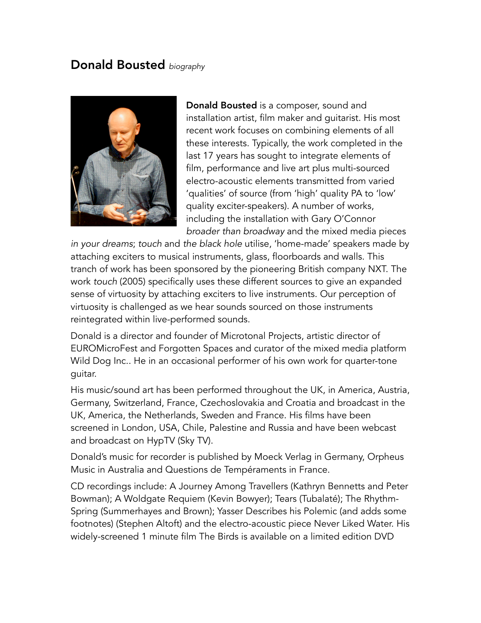# Donald Bousted *biography*



Donald Bousted is a composer, sound and installation artist, film maker and guitarist. His most recent work focuses on combining elements of all these interests. Typically, the work completed in the last 17 years has sought to integrate elements of film, performance and live art plus multi-sourced electro-acoustic elements transmitted from varied 'qualities' of source (from 'high' quality PA to 'low' quality exciter-speakers). A number of works, including the installation with Gary O'Connor *broader than broadway* and the mixed media pieces

*in your dreams*; *touch* and *the black hole* utilise, 'home-made' speakers made by attaching exciters to musical instruments, glass, floorboards and walls. This tranch of work has been sponsored by the pioneering British company NXT. The work *touch* (2005) specifically uses these different sources to give an expanded sense of virtuosity by attaching exciters to live instruments. Our perception of virtuosity is challenged as we hear sounds sourced on those instruments reintegrated within live-performed sounds.

Donald is a director and founder of Microtonal Projects, artistic director of EUROMicroFest and Forgotten Spaces and curator of the mixed media platform Wild Dog Inc.. He in an occasional performer of his own work for quarter-tone guitar.

His music/sound art has been performed throughout the UK, in America, Austria, Germany, Switzerland, France, Czechoslovakia and Croatia and broadcast in the UK, America, the Netherlands, Sweden and France. His films have been screened in London, USA, Chile, Palestine and Russia and have been webcast and broadcast on HypTV (Sky TV).

Donald's music for recorder is published by Moeck Verlag in Germany, Orpheus Music in Australia and Questions de Tempéraments in France.

CD recordings include: A Journey Among Travellers (Kathryn Bennetts and Peter Bowman); A Woldgate Requiem (Kevin Bowyer); Tears (Tubalaté); The Rhythm-Spring (Summerhayes and Brown); Yasser Describes his Polemic (and adds some footnotes) (Stephen Altoft) and the electro-acoustic piece Never Liked Water. His widely-screened 1 minute film The Birds is available on a limited edition DVD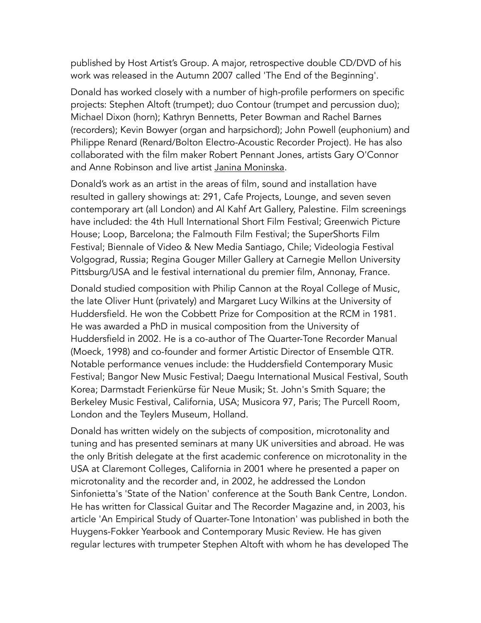published by Host Artist's Group. A major, retrospective double CD/DVD of his work was released in the Autumn 2007 called 'The End of the Beginning'.

Donald has worked closely with a number of high-profile performers on specific projects: Stephen Altoft (trumpet); duo Contour (trumpet and percussion duo); Michael Dixon (horn); Kathryn Bennetts, Peter Bowman and Rachel Barnes (recorders); Kevin Bowyer (organ and harpsichord); John Powell (euphonium) and Philippe Renard (Renard/Bolton Electro-Acoustic Recorder Project). He has also collaborated with the film maker Robert Pennant Jones, artists Gary O'Connor and Anne Robinson and live artist [Janina Moninska](http://www.janinamoninska.com).

Donald's work as an artist in the areas of film, sound and installation have resulted in gallery showings at: 291, Cafe Projects, Lounge, and seven seven contemporary art (all London) and Al Kahf Art Gallery, Palestine. Film screenings have included: the 4th Hull International Short Film Festival; Greenwich Picture House; Loop, Barcelona; the Falmouth Film Festival; the SuperShorts Film Festival; Biennale of Video & New Media Santiago, Chile; Videologia Festival Volgograd, Russia; Regina Gouger Miller Gallery at Carnegie Mellon University Pittsburg/USA and le festival international du premier film, Annonay, France.

Donald studied composition with Philip Cannon at the Royal College of Music, the late Oliver Hunt (privately) and Margaret Lucy Wilkins at the University of Huddersfield. He won the Cobbett Prize for Composition at the RCM in 1981. He was awarded a PhD in musical composition from the University of Huddersfield in 2002. He is a co-author of The Quarter-Tone Recorder Manual (Moeck, 1998) and co-founder and former Artistic Director of Ensemble QTR. Notable performance venues include: the Huddersfield Contemporary Music Festival; Bangor New Music Festival; Daegu International Musical Festival, South Korea; Darmstadt Ferienkürse für Neue Musik; St. John's Smith Square; the Berkeley Music Festival, California, USA; Musicora 97, Paris; The Purcell Room, London and the Teylers Museum, Holland.

Donald has written widely on the subjects of composition, microtonality and tuning and has presented seminars at many UK universities and abroad. He was the only British delegate at the first academic conference on microtonality in the USA at Claremont Colleges, California in 2001 where he presented a paper on microtonality and the recorder and, in 2002, he addressed the London Sinfonietta's 'State of the Nation' conference at the South Bank Centre, London. He has written for Classical Guitar and The Recorder Magazine and, in 2003, his article 'An Empirical Study of Quarter-Tone Intonation' was published in both the Huygens-Fokker Yearbook and Contemporary Music Review. He has given regular lectures with trumpeter Stephen Altoft with whom he has developed The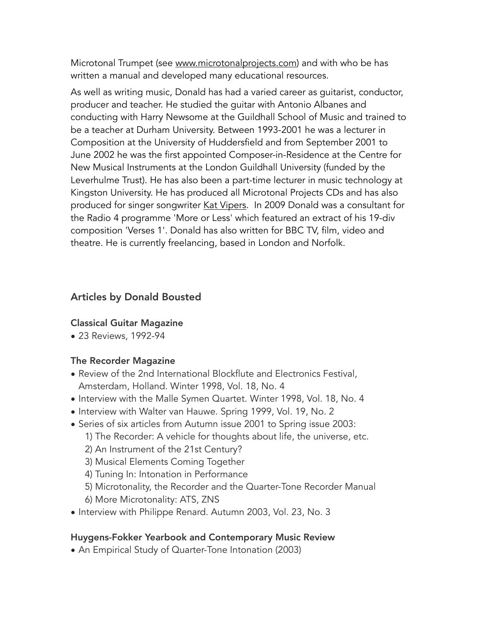Microtonal Trumpet (see [www.microtonalprojects.com\)](http://www.microtonalprojects.com) and with who be has written a manual and developed many educational resources.

As well as writing music, Donald has had a varied career as guitarist, conductor, producer and teacher. He studied the guitar with Antonio Albanes and conducting with Harry Newsome at the Guildhall School of Music and trained to be a teacher at Durham University. Between 1993-2001 he was a lecturer in Composition at the University of Huddersfield and from September 2001 to June 2002 he was the first appointed Composer-in-Residence at the Centre for New Musical Instruments at the London Guildhall University (funded by the Leverhulme Trust). He has also been a part-time lecturer in music technology at Kingston University. He has produced all Microtonal Projects CDs and has also produced for singer songwriter [Kat Vipers.](https://katvipers.bandcamp.com/track/hot-air-balloon) In 2009 Donald was a consultant for the Radio 4 programme 'More or Less' which featured an extract of his 19-div composition 'Verses 1'. Donald has also written for BBC TV, film, video and theatre. He is currently freelancing, based in London and Norfolk.

### Articles by Donald Bousted

#### Classical Guitar Magazine

• 23 Reviews, 1992-94

#### The Recorder Magazine

- Review of the 2nd International Blockflute and Electronics Festival, Amsterdam, Holland. Winter 1998, Vol. 18, No. 4
- Interview with the Malle Symen Quartet. Winter 1998, Vol. 18, No. 4
- Interview with Walter van Hauwe. Spring 1999, Vol. 19, No. 2
- Series of six articles from Autumn issue 2001 to Spring issue 2003:
	- 1) The Recorder: A vehicle for thoughts about life, the universe, etc.
	- 2) An Instrument of the 21st Century?
	- 3) Musical Elements Coming Together
	- 4) Tuning In: Intonation in Performance
	- 5) Microtonality, the Recorder and the Quarter-Tone Recorder Manual
	- 6) More Microtonality: ATS, ZNS
- Interview with Philippe Renard. Autumn 2003, Vol. 23, No. 3

#### Huygens-Fokker Yearbook and Contemporary Music Review

• An Empirical Study of Quarter-Tone Intonation (2003)